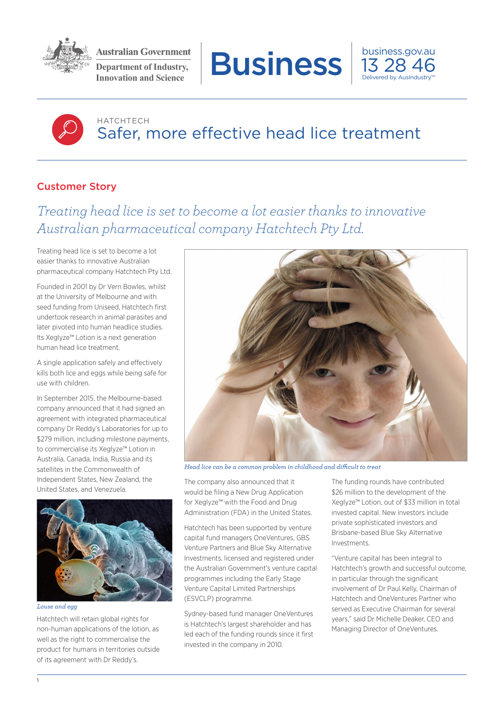

**Department of Industry,** 





## HATCHTECH Safer, more effective head lice treatment

## Customer Story

*Treating head lice is set to become a lot easier thanks to innovative Australian pharmaceutical company Hatchtech Pty Ltd.*

Treating head lice is set to become a lot easier thanks to innovative Australian pharmaceutical company Hatchtech Pty Ltd.

Founded in 2001 by Dr Vern Bowles, whilst at the University of Melbourne and with seed funding from Uniseed, Hatchtech first undertook research in animal parasites and later pivoted into human headlice studies. Its Xeglyze™ Lotion is a next generation human head lice treatment.

A single application safely and effectively kills both lice and eggs while being safe for use with children.

In September 2015, the Melbourne-based company announced that it had signed an agreement with integrated pharmaceutical company Dr Reddy's Laboratories for up to \$279 million, including milestone payments, to commercialise its Xeglyze™ Lotion in Australia, Canada, India, Russia and its satellites in the Commonwealth of Independent States, New Zealand, the United States, and Venezuela.



*Louse and egg*

Hatchtech will retain global rights for non-human applications of the lotion, as well as the right to commercialise the product for humans in territories outside of its agreement with Dr Reddy's.



*Head lice can be a common problem in childhood and difficult to treat*

The company also announced that it would be filing a New Drug Application for Xeglyze™ with the Food and Drug Administration (FDA) in the United States.

Hatchtech has been supported by venture capital fund managers OneVentures, GBS Venture Partners and Blue Sky Alternative Investments, licensed and registered under the Australian Government's venture capital programmes including the Early Stage Venture Capital Limited Partnerships (ESVCLP) programme.

Sydney-based fund manager OneVentures is Hatchtech's largest shareholder and has led each of the funding rounds since it first invested in the company in 2010.

The funding rounds have contributed \$26 million to the development of the Xeglyze™ Lotion, out of \$33 million in total invested capital. New investors include private sophisticated investors and Brisbane-based Blue Sky Alternative Investments.

"Venture capital has been integral to Hatchtech's growth and successful outcome, in particular through the significant involvement of Dr Paul Kelly, Chairman of Hatchtech and OneVentures Partner who served as Executive Chairman for several years," said Dr Michelle Deaker, CEO and Managing Director of OneVentures.